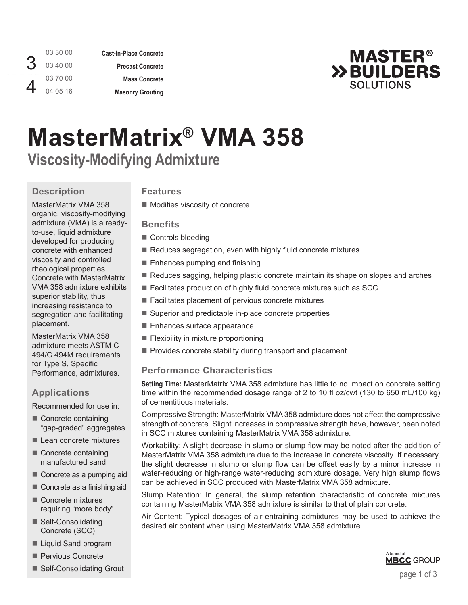3 4

| 03 30 00 | <b>Cast-in-Place Concrete</b> |
|----------|-------------------------------|
| 03 40 00 | <b>Precast Concrete</b>       |
| 03 70 00 | <b>Mass Concrete</b>          |
| 04 05 16 | <b>Masonry Grouting</b>       |



# **MasterMatrix® VMA 358 Viscosity-Modifying Admixture**

# **Description**

MasterMatrix VMA 358 organic, viscosity-modifying admixture (VMA) is a readyto-use, liquid admixture developed for producing concrete with enhanced viscosity and controlled rheological properties. Concrete with MasterMatrix VMA 358 admixture exhibits superior stability, thus increasing resistance to segregation and facilitating placement.

MasterMatrix VMA 358 admixture meets ASTM C 494/C 494M requirements for Type S, Specific Performance, admixtures.

## **Applications**

Recommended for use in:

- Concrete containing "gap-graded" aggregates
- Lean concrete mixtures
- Concrete containing manufactured sand
- Concrete as a pumping aid
- Concrete as a finishing aid
- Concrete mixtures requiring "more body"
- Self-Consolidating Concrete (SCC)
- Liquid Sand program
- **Pervious Concrete**
- Self-Consolidating Grout

## **Features**

**Modifies viscosity of concrete** 

#### **Benefits**

- Controls bleeding
- $\blacksquare$  Reduces segregation, even with highly fluid concrete mixtures
- $\blacksquare$  Enhances pumping and finishing
- Reduces sagging, helping plastic concrete maintain its shape on slopes and arches
- Facilitates production of highly fluid concrete mixtures such as SCC
- Facilitates placement of pervious concrete mixtures
- Superior and predictable in-place concrete properties
- Enhances surface appearance
- $\blacksquare$  Flexibility in mixture proportioning
- **Provides concrete stability during transport and placement**

## **Performance Characteristics**

**Setting Time:** MasterMatrix VMA 358 admixture has little to no impact on concrete setting time within the recommended dosage range of 2 to 10 fl oz/cwt (130 to 650 mL/100 kg) of cementitious materials.

Compressive Strength: MasterMatrix VMA 358 admixture does not affect the compressive strength of concrete. Slight increases in compressive strength have, however, been noted in SCC mixtures containing MasterMatrix VMA 358 admixture.

Workability: A slight decrease in slump or slump flow may be noted after the addition of MasterMatrix VMA 358 admixture due to the increase in concrete viscosity. If necessary, the slight decrease in slump or slump flow can be offset easily by a minor increase in water-reducing or high-range water-reducing admixture dosage. Very high slump flows can be achieved in SCC produced with MasterMatrix VMA 358 admixture.

Slump Retention: In general, the slump retention characteristic of concrete mixtures containing MasterMatrix VMA 358 admixture is similar to that of plain concrete.

Air Content: Typical dosages of air-entraining admixtures may be used to achieve the desired air content when using MasterMatrix VMA 358 admixture.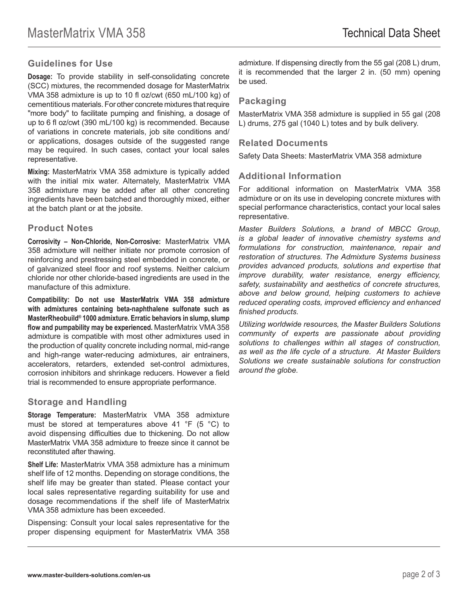## **Guidelines for Use**

**Dosage:** To provide stability in self-consolidating concrete (SCC) mixtures, the recommended dosage for MasterMatrix VMA 358 admixture is up to 10 fl oz/cwt (650 mL/100 kg) of cementitious materials. For other concrete mixtures that require "more body" to facilitate pumping and finishing, a dosage of up to 6 fl oz/cwt (390 mL/100 kg) is recommended. Because of variations in concrete materials, job site conditions and/ or applications, dosages outside of the suggested range may be required. In such cases, contact your local sales representative.

**Mixing:** MasterMatrix VMA 358 admixture is typically added with the initial mix water. Alternately, MasterMatrix VMA 358 admixture may be added after all other concreting ingredients have been batched and thoroughly mixed, either at the batch plant or at the jobsite.

#### **Product Notes**

**Corrosivity – Non-Chloride, Non-Corrosive:** MasterMatrix VMA 358 admixture will neither initiate nor promote corrosion of reinforcing and prestressing steel embedded in concrete, or of galvanized steel floor and roof systems. Neither calcium chloride nor other chloride-based ingredients are used in the manufacture of this admixture.

**Compatibility: Do not use MasterMatrix VMA 358 admixture with admixtures containing beta-naphthalene sulfonate such as MasterRheobuild® 1000 admixture. Erratic behaviors in slump, slump flow and pumpability may be experienced.** MasterMatrix VMA 358 admixture is compatible with most other admixtures used in the production of quality concrete including normal, mid-range and high-range water-reducing admixtures, air entrainers, accelerators, retarders, extended set-control admixtures, corrosion inhibitors and shrinkage reducers. However a field trial is recommended to ensure appropriate performance.

#### **Storage and Handling**

**Storage Temperature:** MasterMatrix VMA 358 admixture must be stored at temperatures above 41 °F (5 °C) to avoid dispensing difficulties due to thickening. Do not allow MasterMatrix VMA 358 admixture to freeze since it cannot be reconstituted after thawing.

**Shelf Life:** MasterMatrix VMA 358 admixture has a minimum shelf life of 12 months. Depending on storage conditions, the shelf life may be greater than stated. Please contact your local sales representative regarding suitability for use and dosage recommendations if the shelf life of MasterMatrix VMA 358 admixture has been exceeded.

Dispensing: Consult your local sales representative for the proper dispensing equipment for MasterMatrix VMA 358 admixture. If dispensing directly from the 55 gal (208 L) drum, it is recommended that the larger 2 in. (50 mm) opening be used.

## **Packaging**

MasterMatrix VMA 358 admixture is supplied in 55 gal (208 L) drums, 275 gal (1040 L) totes and by bulk delivery.

#### **Related Documents**

Safety Data Sheets: MasterMatrix VMA 358 admixture

## **Additional Information**

For additional information on MasterMatrix VMA 358 admixture or on its use in developing concrete mixtures with special performance characteristics, contact your local sales representative.

*Master Builders Solutions, a brand of MBCC Group, is a global leader of innovative chemistry systems and formulations for construction, maintenance, repair and restoration of structures. The Admixture Systems business provides advanced products, solutions and expertise that improve durability, water resistance, energy efficiency, safety, sustainability and aesthetics of concrete structures, above and below ground, helping customers to achieve reduced operating costs, improved efficiency and enhanced finished products.* 

*Utilizing worldwide resources, the Master Builders Solutions community of experts are passionate about providing solutions to challenges within all stages of construction, as well as the life cycle of a structure. At Master Builders Solutions we create sustainable solutions for construction around the globe.*